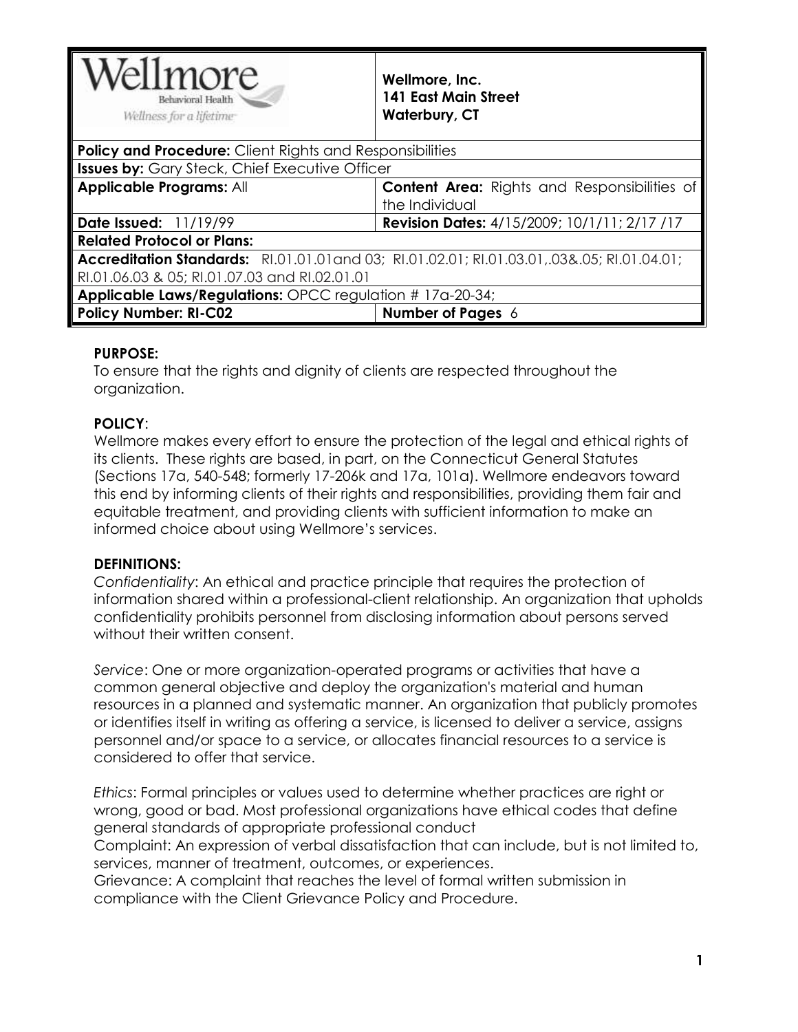| ellmore<br>Behavioral Health<br>Wellness for a lifetime-                                          | Wellmore, Inc.<br>141 East Main Street<br><b>Waterbury, CT</b>        |  |
|---------------------------------------------------------------------------------------------------|-----------------------------------------------------------------------|--|
| <b>Policy and Procedure:</b> Client Rights and Responsibilities                                   |                                                                       |  |
| <b>Issues by:</b> Gary Steck, Chief Executive Officer                                             |                                                                       |  |
| <b>Applicable Programs: All</b>                                                                   | <b>Content Area:</b> Rights and Responsibilities of<br>the Individual |  |
| Date Issued: 11/19/99                                                                             | <b>Revision Dates:</b> 4/15/2009; 10/1/11; 2/17 /17                   |  |
| <b>Related Protocol or Plans:</b>                                                                 |                                                                       |  |
| Accreditation Standards: RI.01.01.01.01.01.03.01, RI.01.02.01; RI.01.03.01, .03&.05; RI.01.04.01; |                                                                       |  |
| RI.01.06.03 & 05; RI.01.07.03 and RI.02.01.01                                                     |                                                                       |  |
| <b>Applicable Laws/Regulations: OPCC regulation #17a-20-34;</b>                                   |                                                                       |  |
| <b>Policy Number: RI-C02</b>                                                                      | <b>Number of Pages 6</b>                                              |  |

### **PURPOSE:**

To ensure that the rights and dignity of clients are respected throughout the organization.

### **POLICY**:

Wellmore makes every effort to ensure the protection of the legal and ethical rights of its clients. These rights are based, in part, on the Connecticut General Statutes (Sections 17a, 540-548; formerly 17-206k and 17a, 101a). Wellmore endeavors toward this end by informing clients of their rights and responsibilities, providing them fair and equitable treatment, and providing clients with sufficient information to make an informed choice about using Wellmore's services.

#### **DEFINITIONS:**

*Confidentiality*: An ethical and practice principle that requires the protection of information shared within a professional-client relationship. An organization that upholds confidentiality prohibits personnel from disclosing information about persons served without their written consent.

*Service*: One or more organization-operated programs or activities that have a common general objective and deploy the organization's material and human resources in a planned and systematic manner. An organization that publicly promotes or identifies itself in writing as offering a service, is licensed to deliver a service, assigns personnel and/or space to a service, or allocates financial resources to a service is considered to offer that service.

*Ethics*: Formal principles or values used to determine whether practices are right or wrong, good or bad. Most professional organizations have ethical codes that define general standards of appropriate professional conduct

Complaint: An expression of verbal dissatisfaction that can include, but is not limited to, services, manner of treatment, outcomes, or experiences.

Grievance: A complaint that reaches the level of formal written submission in compliance with the Client Grievance Policy and Procedure.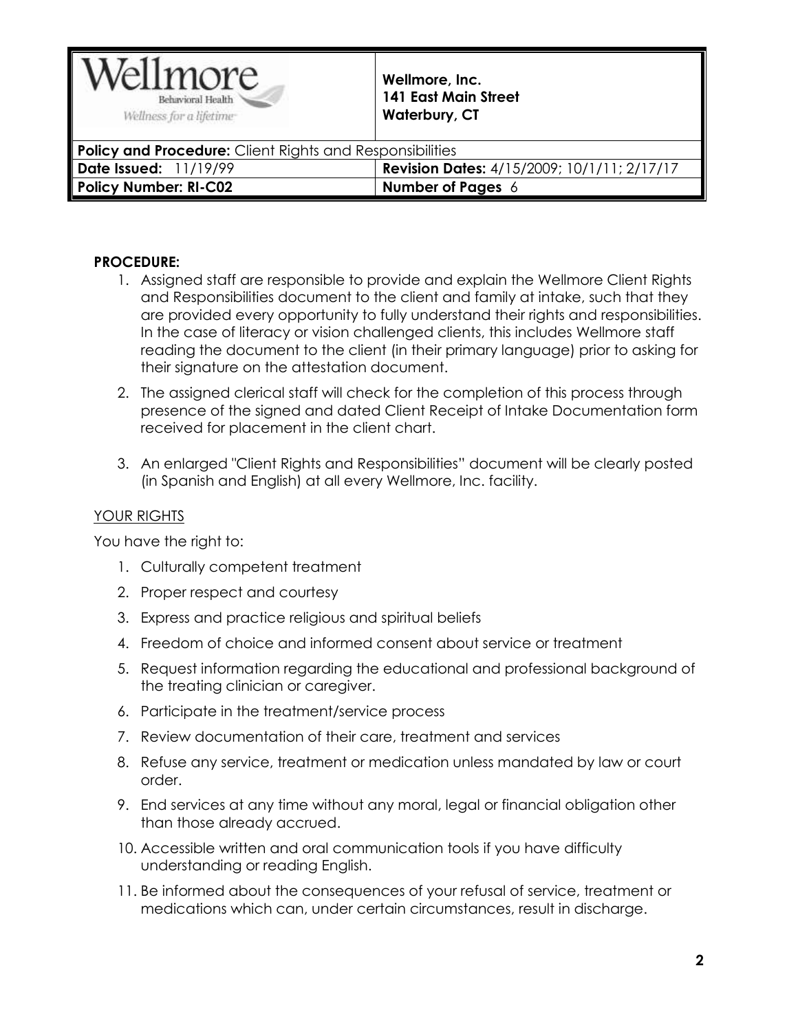

| <b>Policy and Procedure:</b> Client Rights and Responsibilities |                                                    |
|-----------------------------------------------------------------|----------------------------------------------------|
| Date Issued: 11/19/99                                           | <b>Revision Dates:</b> 4/15/2009; 10/1/11; 2/17/17 |
| Policy Number: RI-C02                                           | Number of Pages $6$                                |

## **PROCEDURE:**

- 1. Assigned staff are responsible to provide and explain the Wellmore Client Rights and Responsibilities document to the client and family at intake, such that they are provided every opportunity to fully understand their rights and responsibilities. In the case of literacy or vision challenged clients, this includes Wellmore staff reading the document to the client (in their primary language) prior to asking for their signature on the attestation document.
- 2. The assigned clerical staff will check for the completion of this process through presence of the signed and dated Client Receipt of Intake Documentation form received for placement in the client chart.
- 3. An enlarged "Client Rights and Responsibilities" document will be clearly posted (in Spanish and English) at all every Wellmore, Inc. facility.

# YOUR RIGHTS

You have the right to:

- 1. Culturally competent treatment
- 2. Proper respect and courtesy
- 3. Express and practice religious and spiritual beliefs
- 4. Freedom of choice and informed consent about service or treatment
- 5. Request information regarding the educational and professional background of the treating clinician or caregiver.
- 6. Participate in the treatment/service process
- 7. Review documentation of their care, treatment and services
- 8. Refuse any service, treatment or medication unless mandated by law or court order.
- 9. End services at any time without any moral, legal or financial obligation other than those already accrued.
- 10. Accessible written and oral communication tools if you have difficulty understanding or reading English.
- 11. Be informed about the consequences of your refusal of service, treatment or medications which can, under certain circumstances, result in discharge.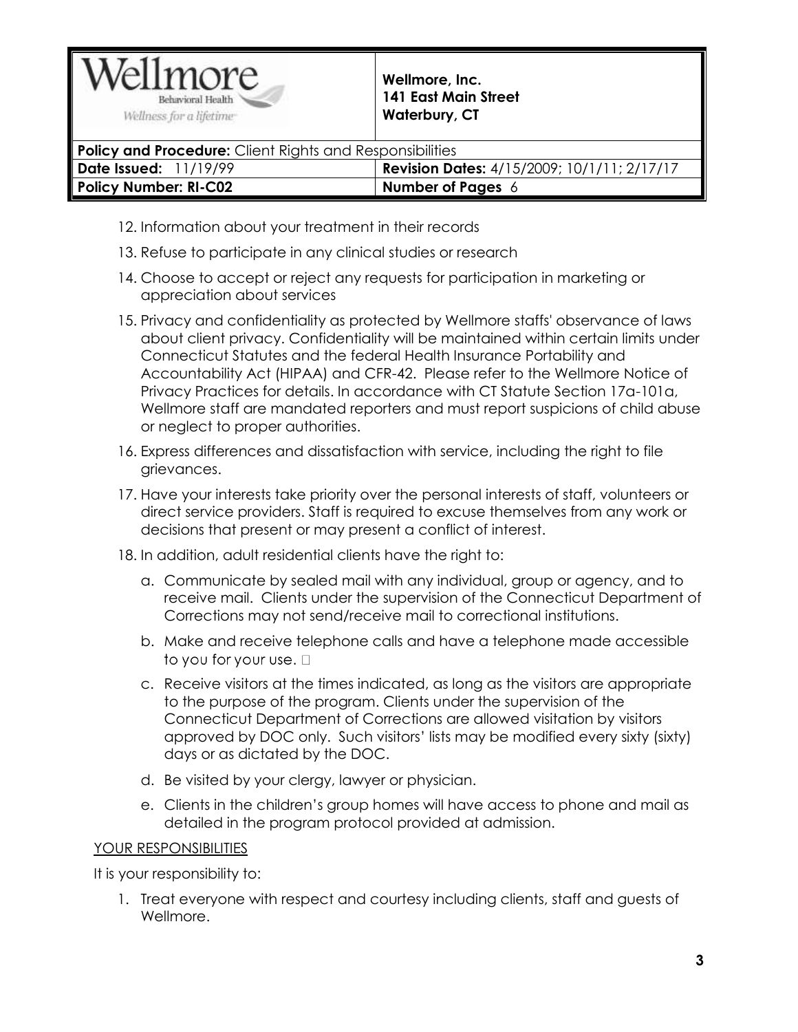

| しょうしょう スペース アイス・スペース 大学 こうしょうせい スペース・エー スペース・スペース アール・エー        |                                                    |
|-----------------------------------------------------------------|----------------------------------------------------|
| <b>Policy and Procedure:</b> Client Rights and Responsibilities |                                                    |
| Date Issued: 11/19/99                                           | <b>Revision Dates:</b> 4/15/2009; 10/1/11; 2/17/17 |
| <b>Policy Number: RI-C02</b>                                    | <b>Number of Pages</b> $6$                         |
|                                                                 |                                                    |

- 12. Information about your treatment in their records
- 13. Refuse to participate in any clinical studies or research
- 14. Choose to accept or reject any requests for participation in marketing or appreciation about services
- 15. Privacy and confidentiality as protected by Wellmore staffs' observance of laws about client privacy. Confidentiality will be maintained within certain limits under Connecticut Statutes and the federal Health Insurance Portability and Accountability Act (HIPAA) and CFR-42. Please refer to the Wellmore Notice of Privacy Practices for details. In accordance with CT Statute Section 17a-101a, Wellmore staff are mandated reporters and must report suspicions of child abuse or neglect to proper authorities.
- 16. Express differences and dissatisfaction with service, including the right to file grievances.
- 17. Have your interests take priority over the personal interests of staff, volunteers or direct service providers. Staff is required to excuse themselves from any work or decisions that present or may present a conflict of interest.
- 18. In addition, adult residential clients have the right to:
	- a. Communicate by sealed mail with any individual, group or agency, and to receive mail. Clients under the supervision of the Connecticut Department of Corrections may not send/receive mail to correctional institutions.
	- b. Make and receive telephone calls and have a telephone made accessible to you for your use.  $\square$
	- c. Receive visitors at the times indicated, as long as the visitors are appropriate to the purpose of the program. Clients under the supervision of the Connecticut Department of Corrections are allowed visitation by visitors approved by DOC only. Such visitors' lists may be modified every sixty (sixty) days or as dictated by the DOC.
	- d. Be visited by your clergy, lawyer or physician.
	- e. Clients in the children's group homes will have access to phone and mail as detailed in the program protocol provided at admission.

# YOUR RESPONSIBILITIES

It is your responsibility to:

1. Treat everyone with respect and courtesy including clients, staff and guests of Wellmore.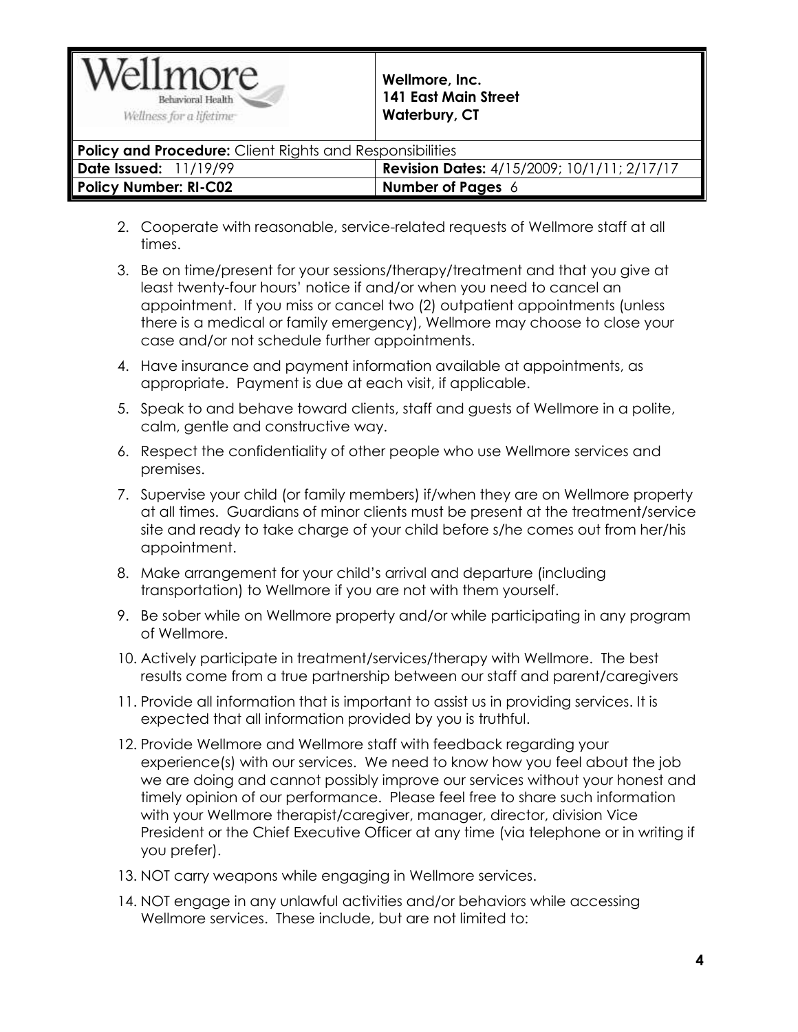

| <b>Policy and Procedure:</b> Client Rights and Responsibilities |                                                    |
|-----------------------------------------------------------------|----------------------------------------------------|
| <b>Date Issued: 11/19/99</b>                                    | <b>Revision Dates:</b> 4/15/2009; 10/1/11; 2/17/17 |
| Policy Number: RI-C02                                           | Number of Pages $6$                                |
|                                                                 |                                                    |

- 2. Cooperate with reasonable, service-related requests of Wellmore staff at all times.
- 3. Be on time/present for your sessions/therapy/treatment and that you give at least twenty-four hours' notice if and/or when you need to cancel an appointment. If you miss or cancel two (2) outpatient appointments (unless there is a medical or family emergency), Wellmore may choose to close your case and/or not schedule further appointments.
- 4. Have insurance and payment information available at appointments, as appropriate. Payment is due at each visit, if applicable.
- 5. Speak to and behave toward clients, staff and guests of Wellmore in a polite, calm, gentle and constructive way.
- 6. Respect the confidentiality of other people who use Wellmore services and premises.
- 7. Supervise your child (or family members) if/when they are on Wellmore property at all times. Guardians of minor clients must be present at the treatment/service site and ready to take charge of your child before s/he comes out from her/his appointment.
- 8. Make arrangement for your child's arrival and departure (including transportation) to Wellmore if you are not with them yourself.
- 9. Be sober while on Wellmore property and/or while participating in any program of Wellmore.
- 10. Actively participate in treatment/services/therapy with Wellmore. The best results come from a true partnership between our staff and parent/caregivers
- 11. Provide all information that is important to assist us in providing services. It is expected that all information provided by you is truthful.
- 12. Provide Wellmore and Wellmore staff with feedback regarding your experience(s) with our services. We need to know how you feel about the job we are doing and cannot possibly improve our services without your honest and timely opinion of our performance. Please feel free to share such information with your Wellmore therapist/caregiver, manager, director, division Vice President or the Chief Executive Officer at any time (via telephone or in writing if you prefer).
- 13. NOT carry weapons while engaging in Wellmore services.
- 14. NOT engage in any unlawful activities and/or behaviors while accessing Wellmore services. These include, but are not limited to: